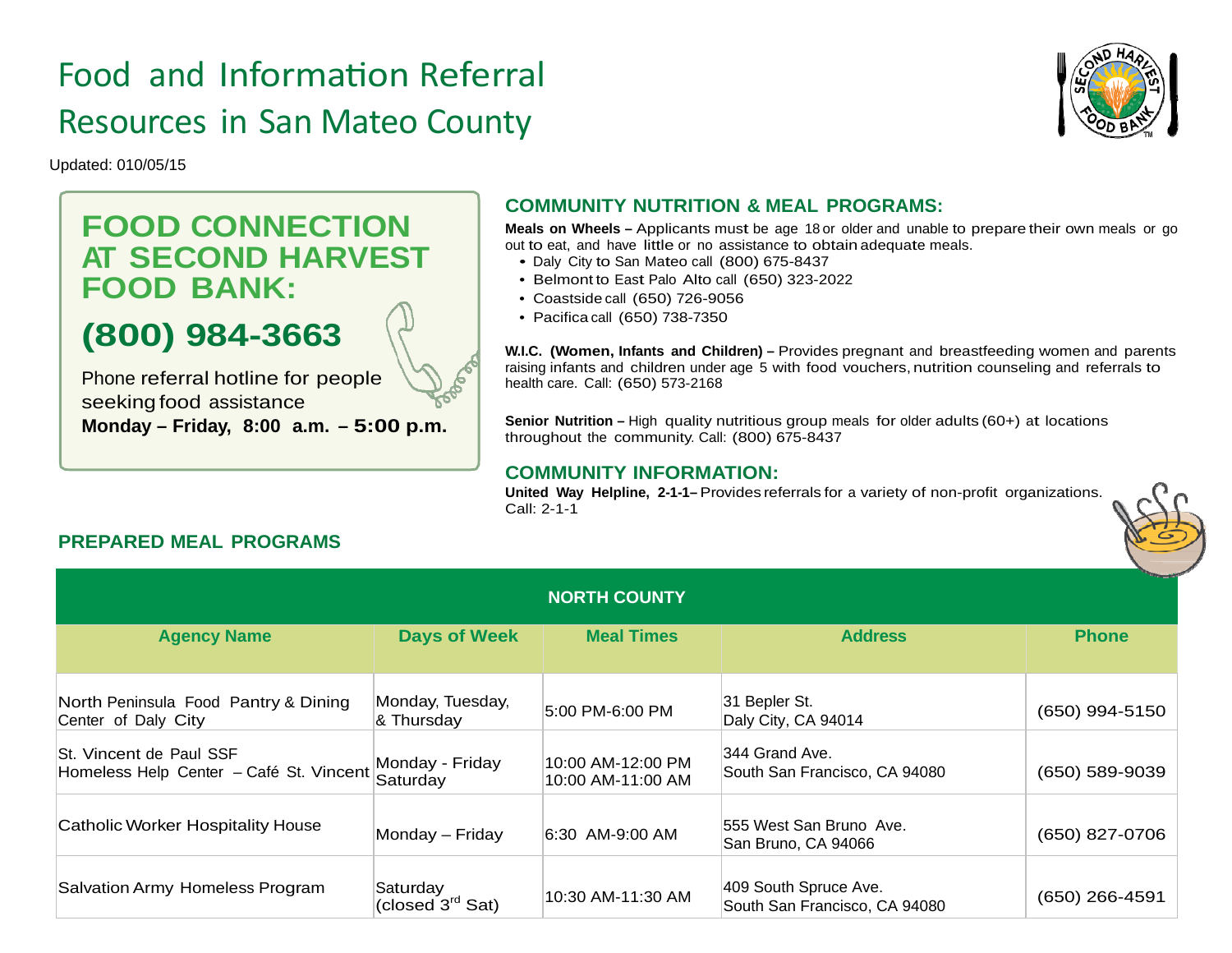# Food and Information Referral Resources in San Mateo County



Updated: 010/05/15

## **FOOD CONNECTION AT SECOND HARVEST FOOD BANK:**

# **(800) 984-3663**

Phone referral hotline for people seeking food assistance **Monday – Friday, 8:00 a.m. – 5:00 p.m.**

### **COMMUNITY NUTRITION & MEAL PROGRAMS:**

**Meals on Wheels –** Applicants must be age 18 or older and unable to prepare their own meals or go out to eat, and have little or no assistance to obtain adequate meals.

- Daly City to San Mateo call (800) 675-8437
- Belmont to East Palo Alto call (650) 323-2022
- Coastside call (650) 726-9056
- Pacifica call (650) 738-7350

**W.I.C. (Women, Infants and Children) –** Provides pregnant and breastfeeding women and parents raising infants and children under age 5 with food vouchers, nutrition counseling and referrals to health care. Call: (650) 573-2168

**Senior Nutrition** – High quality nutritious group meals for older adults (60+) at locations throughout the community. Call: (800) 675-8437

#### **COMMUNITY INFORMATION:**

**United Way Helpline, 2-1-1–** Provides referrals for a variety of non-profit organizations. Call: 2-1-1



### **PREPARED MEAL PROGRAMS**

| <b>NORTH COUNTY</b>                                                |                                          |                                        |                                                        |                |  |  |
|--------------------------------------------------------------------|------------------------------------------|----------------------------------------|--------------------------------------------------------|----------------|--|--|
| <b>Agency Name</b>                                                 | <b>Days of Week</b>                      | <b>Meal Times</b>                      | <b>Address</b>                                         | <b>Phone</b>   |  |  |
| North Peninsula Food Pantry & Dining<br>Center of Daly City        | Monday, Tuesday,<br>& Thursday           | 5:00 PM-6:00 PM                        | 31 Bepler St.<br>Daly City, CA 94014                   | (650) 994-5150 |  |  |
| St. Vincent de Paul SSF<br>Homeless Help Center - Café St. Vincent | Monday - Friday<br>Saturday              | 10:00 AM-12:00 PM<br>10:00 AM-11:00 AM | 344 Grand Ave.<br>South San Francisco, CA 94080        | (650) 589-9039 |  |  |
| Catholic Worker Hospitality House                                  | Monday - Friday                          | 6:30 AM-9:00 AM                        | 555 West San Bruno Ave.<br>San Bruno, CA 94066         | (650) 827-0706 |  |  |
| Salvation Army Homeless Program                                    | Saturday<br>(closed 3 <sup>rd</sup> Sat) | 10:30 AM-11:30 AM                      | 409 South Spruce Ave.<br>South San Francisco, CA 94080 | (650) 266-4591 |  |  |